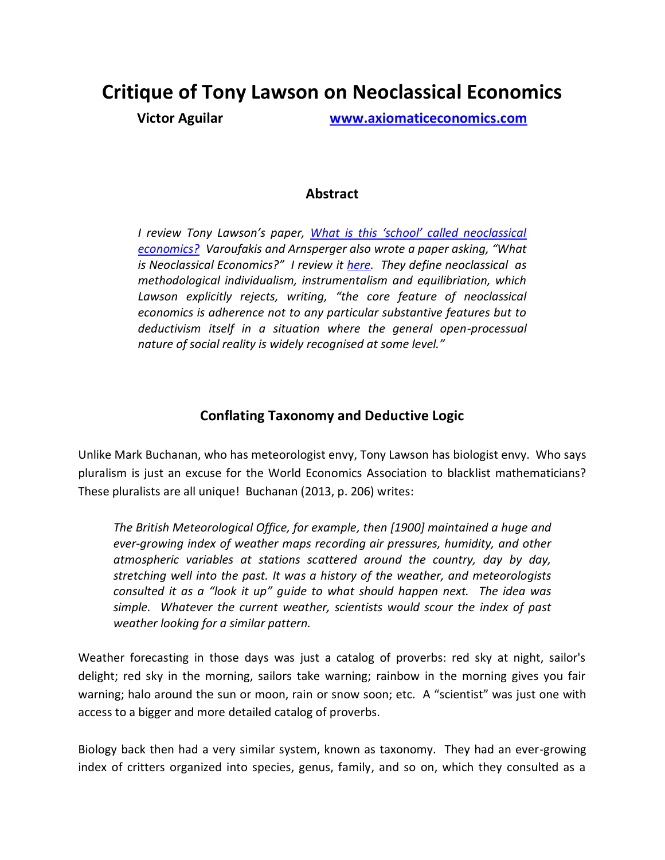# **Critique of Tony Lawson on Neoclassical Economics**

**Victor Aguilar [www.axiomaticeconomics.com](http://www.axiomaticeconomics.com/)**

## **Abstract**

*I review Tony Lawson's paper, [What is this 'school' called neoclassical](http://www.axiomaticeconomics.com/What_Is_Neoclassical_Economics-Lawson.pdf)  [economics?](http://www.axiomaticeconomics.com/What_Is_Neoclassical_Economics-Lawson.pdf) Varoufakis and Arnsperger also wrote a paper asking, "What is Neoclassical Economics?" I review it [here.](http://www3.unifr.ch/econophysics/sites/default/files/Review_Varoufakis_Arnsperger.pdf) They define neoclassical as methodological individualism, instrumentalism and equilibriation, which Lawson explicitly rejects, writing, "the core feature of neoclassical economics is adherence not to any particular substantive features but to deductivism itself in a situation where the general open-processual nature of social reality is widely recognised at some level."*

## **Conflating Taxonomy and Deductive Logic**

Unlike Mark Buchanan, who has meteorologist envy, Tony Lawson has biologist envy. Who says pluralism is just an excuse for the World Economics Association to blacklist mathematicians? These pluralists are all unique! Buchanan (2013, p. 206) writes:

*The British Meteorological Office, for example, then [1900] maintained a huge and ever-growing index of weather maps recording air pressures, humidity, and other atmospheric variables at stations scattered around the country, day by day, stretching well into the past. It was a history of the weather, and meteorologists consulted it as a "look it up" guide to what should happen next. The idea was simple. Whatever the current weather, scientists would scour the index of past weather looking for a similar pattern.*

Weather forecasting in those days was just a catalog of proverbs: red sky at night, sailor's delight; red sky in the morning, sailors take warning; rainbow in the morning gives you fair warning; halo around the sun or moon, rain or snow soon; etc. A "scientist" was just one with access to a bigger and more detailed catalog of proverbs.

Biology back then had a very similar system, known as taxonomy. They had an ever-growing index of critters organized into species, genus, family, and so on, which they consulted as a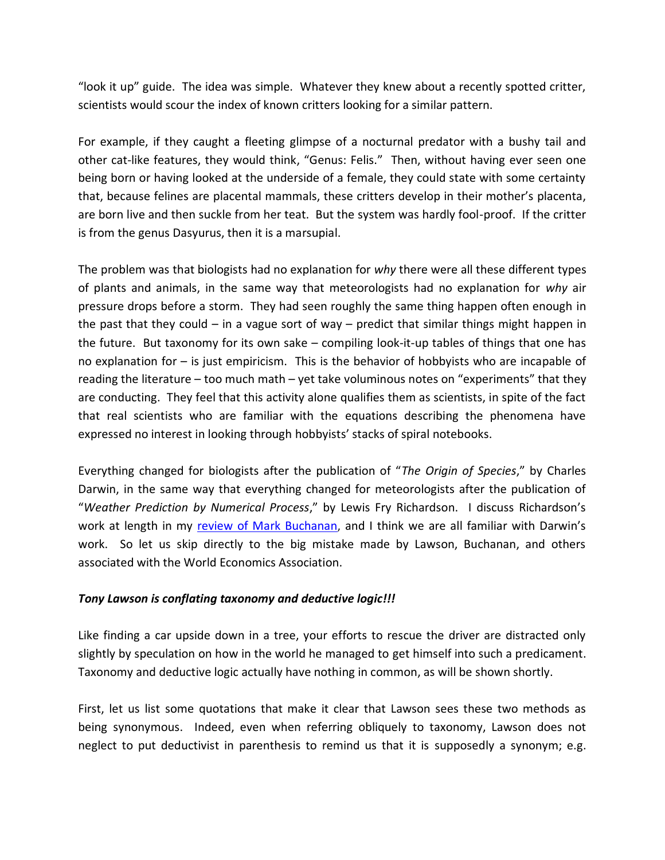"look it up" guide. The idea was simple. Whatever they knew about a recently spotted critter, scientists would scour the index of known critters looking for a similar pattern.

For example, if they caught a fleeting glimpse of a nocturnal predator with a bushy tail and other cat-like features, they would think, "Genus: Felis." Then, without having ever seen one being born or having looked at the underside of a female, they could state with some certainty that, because felines are placental mammals, these critters develop in their mother's placenta, are born live and then suckle from her teat. But the system was hardly fool-proof. If the critter is from the genus Dasyurus, then it is a marsupial.

The problem was that biologists had no explanation for *why* there were all these different types of plants and animals, in the same way that meteorologists had no explanation for *why* air pressure drops before a storm. They had seen roughly the same thing happen often enough in the past that they could – in a vague sort of way – predict that similar things might happen in the future. But taxonomy for its own sake – compiling look-it-up tables of things that one has no explanation for – is just empiricism. This is the behavior of hobbyists who are incapable of reading the literature – too much math – yet take voluminous notes on "experiments" that they are conducting. They feel that this activity alone qualifies them as scientists, in spite of the fact that real scientists who are familiar with the equations describing the phenomena have expressed no interest in looking through hobbyists' stacks of spiral notebooks.

Everything changed for biologists after the publication of "*The Origin of Species*," by Charles Darwin, in the same way that everything changed for meteorologists after the publication of "*Weather Prediction by Numerical Process*," by Lewis Fry Richardson. I discuss Richardson's work at length in my [review of Mark Buchanan](http://www3.unifr.ch/econophysics/sites/default/files/Review_Mark_Buchanan_Forecast_0.pdf), and I think we are all familiar with Darwin's work. So let us skip directly to the big mistake made by Lawson, Buchanan, and others associated with the World Economics Association.

### *Tony Lawson is conflating taxonomy and deductive logic!!!*

Like finding a car upside down in a tree, your efforts to rescue the driver are distracted only slightly by speculation on how in the world he managed to get himself into such a predicament. Taxonomy and deductive logic actually have nothing in common, as will be shown shortly.

First, let us list some quotations that make it clear that Lawson sees these two methods as being synonymous. Indeed, even when referring obliquely to taxonomy, Lawson does not neglect to put deductivist in parenthesis to remind us that it is supposedly a synonym; e.g.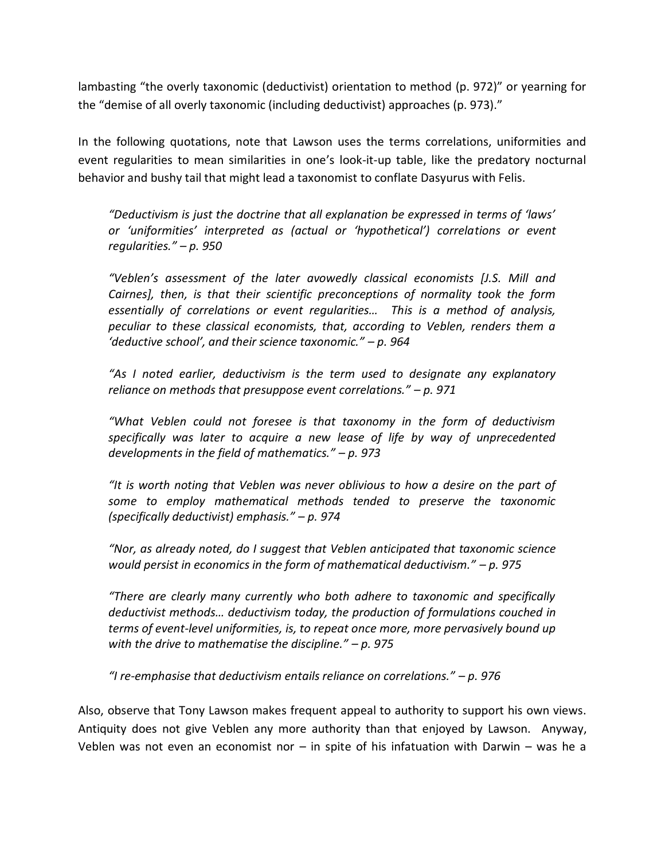lambasting "the overly taxonomic (deductivist) orientation to method (p. 972)" or yearning for the "demise of all overly taxonomic (including deductivist) approaches (p. 973)."

In the following quotations, note that Lawson uses the terms correlations, uniformities and event regularities to mean similarities in one's look-it-up table, like the predatory nocturnal behavior and bushy tail that might lead a taxonomist to conflate Dasyurus with Felis.

*"Deductivism is just the doctrine that all explanation be expressed in terms of 'laws' or 'uniformities' interpreted as (actual or 'hypothetical') correlations or event regularities." – p. 950*

*"Veblen's assessment of the later avowedly classical economists [J.S. Mill and Cairnes], then, is that their scientific preconceptions of normality took the form essentially of correlations or event regularities… This is a method of analysis, peculiar to these classical economists, that, according to Veblen, renders them a 'deductive school', and their science taxonomic." – p. 964*

*"As I noted earlier, deductivism is the term used to designate any explanatory reliance on methods that presuppose event correlations." – p. 971*

*"What Veblen could not foresee is that taxonomy in the form of deductivism specifically was later to acquire a new lease of life by way of unprecedented developments in the field of mathematics." – p. 973*

*"It is worth noting that Veblen was never oblivious to how a desire on the part of some to employ mathematical methods tended to preserve the taxonomic (specifically deductivist) emphasis." – p. 974*

*"Nor, as already noted, do I suggest that Veblen anticipated that taxonomic science would persist in economics in the form of mathematical deductivism." – p. 975*

*"There are clearly many currently who both adhere to taxonomic and specifically deductivist methods… deductivism today, the production of formulations couched in terms of event-level uniformities, is, to repeat once more, more pervasively bound up with the drive to mathematise the discipline." – p. 975*

*"I re-emphasise that deductivism entails reliance on correlations." – p. 976*

Also, observe that Tony Lawson makes frequent appeal to authority to support his own views. Antiquity does not give Veblen any more authority than that enjoyed by Lawson. Anyway, Veblen was not even an economist nor  $-$  in spite of his infatuation with Darwin  $-$  was he a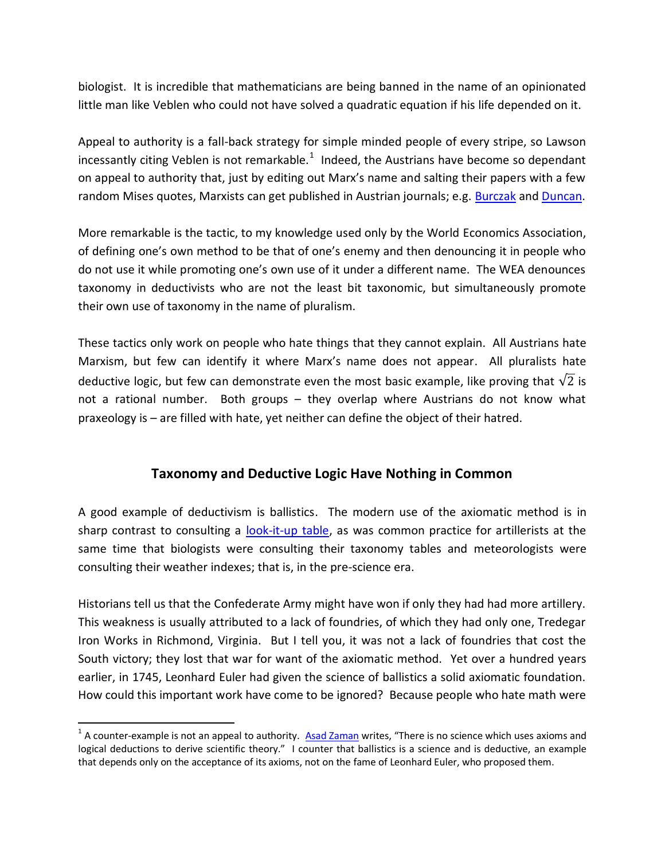biologist. It is incredible that mathematicians are being banned in the name of an opinionated little man like Veblen who could not have solved a quadratic equation if his life depended on it.

Appeal to authority is a fall-back strategy for simple minded people of every stripe, so Lawson incessantly citing Veblen is not remarkable.<sup>1</sup> Indeed, the Austrians have become so dependant on appeal to authority that, just by editing out Marx's name and salting their papers with a few random Mises quotes, Marxists can get published in Austrian journals; e.g. [Burczak](http://axiomaticeconomics.com/burczak.php) and [Duncan.](http://axiomaticeconomics.com/duncan.php)

More remarkable is the tactic, to my knowledge used only by the World Economics Association, of defining one's own method to be that of one's enemy and then denouncing it in people who do not use it while promoting one's own use of it under a different name. The WEA denounces taxonomy in deductivists who are not the least bit taxonomic, but simultaneously promote their own use of taxonomy in the name of pluralism.

These tactics only work on people who hate things that they cannot explain. All Austrians hate Marxism, but few can identify it where Marx's name does not appear. All pluralists hate deductive logic, but few can demonstrate even the most basic example, like proving that  $\sqrt{2}$  is not a rational number. Both groups – they overlap where Austrians do not know what praxeology is – are filled with hate, yet neither can define the object of their hatred.

## **Taxonomy and Deductive Logic Have Nothing in Common**

A good example of deductivism is ballistics. The modern use of the axiomatic method is in sharp contrast to consulting a [look-it-up table,](http://www.civilwarartillery.com/tables.htm) as was common practice for artillerists at the same time that biologists were consulting their taxonomy tables and meteorologists were consulting their weather indexes; that is, in the pre-science era.

Historians tell us that the Confederate Army might have won if only they had had more artillery. This weakness is usually attributed to a lack of foundries, of which they had only one, Tredegar Iron Works in Richmond, Virginia. But I tell you, it was not a lack of foundries that cost the South victory; they lost that war for want of the axiomatic method. Yet over a hundred years earlier, in 1745, Leonhard Euler had given the science of ballistics a solid axiomatic foundation. How could this important work have come to be ignored? Because people who hate math were

 $\overline{\phantom{a}}$ 

<sup>&</sup>lt;sup>1</sup> A counter-example is not an appeal to authority. [Asad Zaman](http://www3.unifr.ch/econophysics/?q=content/deification-science-its-disastrous-consequences) writes, "There is no science which uses axioms and logical deductions to derive scientific theory." I counter that ballistics is a science and is deductive, an example that depends only on the acceptance of its axioms, not on the fame of Leonhard Euler, who proposed them.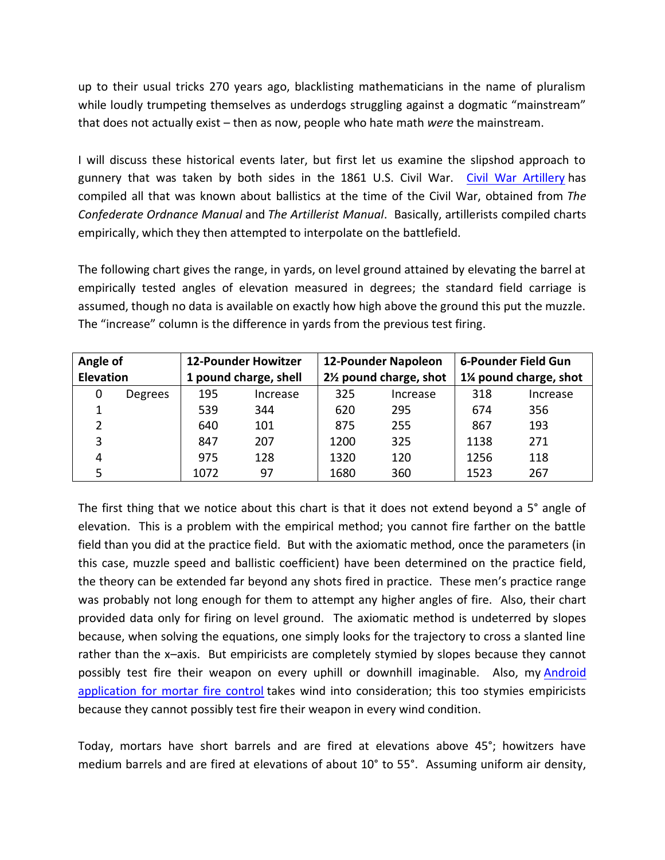up to their usual tricks 270 years ago, blacklisting mathematicians in the name of pluralism while loudly trumpeting themselves as underdogs struggling against a dogmatic "mainstream" that does not actually exist – then as now, people who hate math *were* the mainstream.

I will discuss these historical events later, but first let us examine the slipshod approach to gunnery that was taken by both sides in the 1861 U.S. Civil War. [Civil War Artillery](http://www.civilwarartillery.com/tables.htm) has compiled all that was known about ballistics at the time of the Civil War, obtained from *The Confederate Ordnance Manual* and *The Artillerist Manual*. Basically, artillerists compiled charts empirically, which they then attempted to interpolate on the battlefield.

The following chart gives the range, in yards, on level ground attained by elevating the barrel at empirically tested angles of elevation measured in degrees; the standard field carriage is assumed, though no data is available on exactly how high above the ground this put the muzzle. The "increase" column is the difference in yards from the previous test firing.

| Angle of         |         | <b>12-Pounder Howitzer</b> |          | <b>12-Pounder Napoleon</b>          |          | 6-Pounder Field Gun   |          |
|------------------|---------|----------------------------|----------|-------------------------------------|----------|-----------------------|----------|
| <b>Elevation</b> |         | 1 pound charge, shell      |          | 21/ <sub>2</sub> pound charge, shot |          | 1% pound charge, shot |          |
| 0                | Degrees | 195                        | Increase | 325                                 | Increase | 318                   | Increase |
|                  |         | 539                        | 344      | 620                                 | 295      | 674                   | 356      |
| 2                |         | 640                        | 101      | 875                                 | 255      | 867                   | 193      |
| 3                |         | 847                        | 207      | 1200                                | 325      | 1138                  | 271      |
| 4                |         | 975                        | 128      | 1320                                | 120      | 1256                  | 118      |
|                  |         | 1072                       | 97       | 1680                                | 360      | 1523                  | 267      |

The first thing that we notice about this chart is that it does not extend beyond a 5° angle of elevation. This is a problem with the empirical method; you cannot fire farther on the battle field than you did at the practice field. But with the axiomatic method, once the parameters (in this case, muzzle speed and ballistic coefficient) have been determined on the practice field, the theory can be extended far beyond any shots fired in practice. These men's practice range was probably not long enough for them to attempt any higher angles of fire. Also, their chart provided data only for firing on level ground. The axiomatic method is undeterred by slopes because, when solving the equations, one simply looks for the trajectory to cross a slanted line rather than the x–axis. But empiricists are completely stymied by slopes because they cannot possibly test fire their weapon on every uphill or downhill imaginable. Also, my [Android](http://www.sniperflashcards.com/mortars.php)  [application for mortar fire control](http://www.sniperflashcards.com/mortars.php) takes wind into consideration; this too stymies empiricists because they cannot possibly test fire their weapon in every wind condition.

Today, mortars have short barrels and are fired at elevations above 45°; howitzers have medium barrels and are fired at elevations of about 10° to 55°. Assuming uniform air density,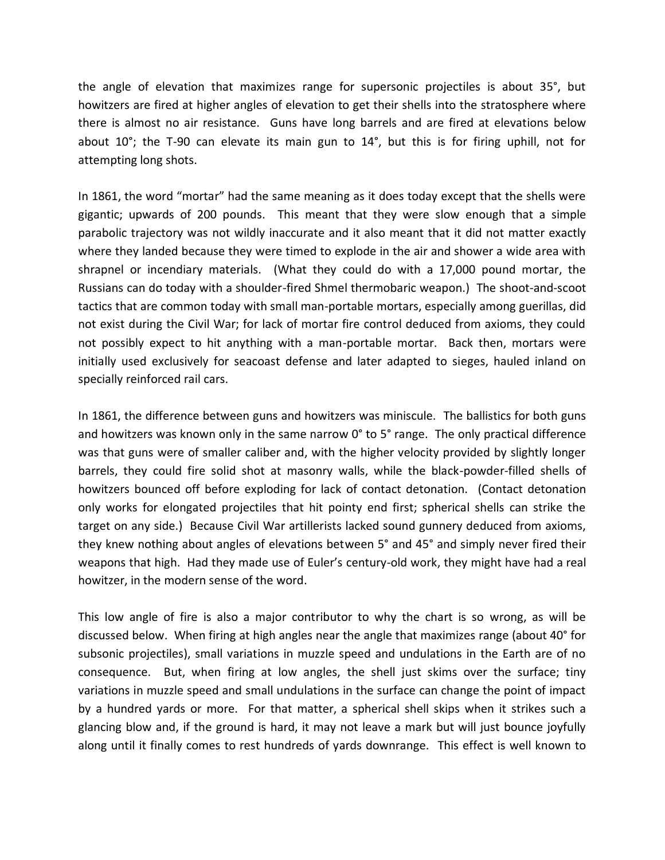the angle of elevation that maximizes range for supersonic projectiles is about 35°, but howitzers are fired at higher angles of elevation to get their shells into the stratosphere where there is almost no air resistance. Guns have long barrels and are fired at elevations below about 10°; the T-90 can elevate its main gun to 14°, but this is for firing uphill, not for attempting long shots.

In 1861, the word "mortar" had the same meaning as it does today except that the shells were gigantic; upwards of 200 pounds. This meant that they were slow enough that a simple parabolic trajectory was not wildly inaccurate and it also meant that it did not matter exactly where they landed because they were timed to explode in the air and shower a wide area with shrapnel or incendiary materials. (What they could do with a 17,000 pound mortar, the Russians can do today with a shoulder-fired Shmel thermobaric weapon.) The shoot-and-scoot tactics that are common today with small man-portable mortars, especially among guerillas, did not exist during the Civil War; for lack of mortar fire control deduced from axioms, they could not possibly expect to hit anything with a man-portable mortar. Back then, mortars were initially used exclusively for seacoast defense and later adapted to sieges, hauled inland on specially reinforced rail cars.

In 1861, the difference between guns and howitzers was miniscule. The ballistics for both guns and howitzers was known only in the same narrow 0° to 5° range. The only practical difference was that guns were of smaller caliber and, with the higher velocity provided by slightly longer barrels, they could fire solid shot at masonry walls, while the black-powder-filled shells of howitzers bounced off before exploding for lack of contact detonation. (Contact detonation only works for elongated projectiles that hit pointy end first; spherical shells can strike the target on any side.) Because Civil War artillerists lacked sound gunnery deduced from axioms, they knew nothing about angles of elevations between 5° and 45° and simply never fired their weapons that high. Had they made use of Euler's century-old work, they might have had a real howitzer, in the modern sense of the word.

This low angle of fire is also a major contributor to why the chart is so wrong, as will be discussed below. When firing at high angles near the angle that maximizes range (about 40° for subsonic projectiles), small variations in muzzle speed and undulations in the Earth are of no consequence. But, when firing at low angles, the shell just skims over the surface; tiny variations in muzzle speed and small undulations in the surface can change the point of impact by a hundred yards or more. For that matter, a spherical shell skips when it strikes such a glancing blow and, if the ground is hard, it may not leave a mark but will just bounce joyfully along until it finally comes to rest hundreds of yards downrange. This effect is well known to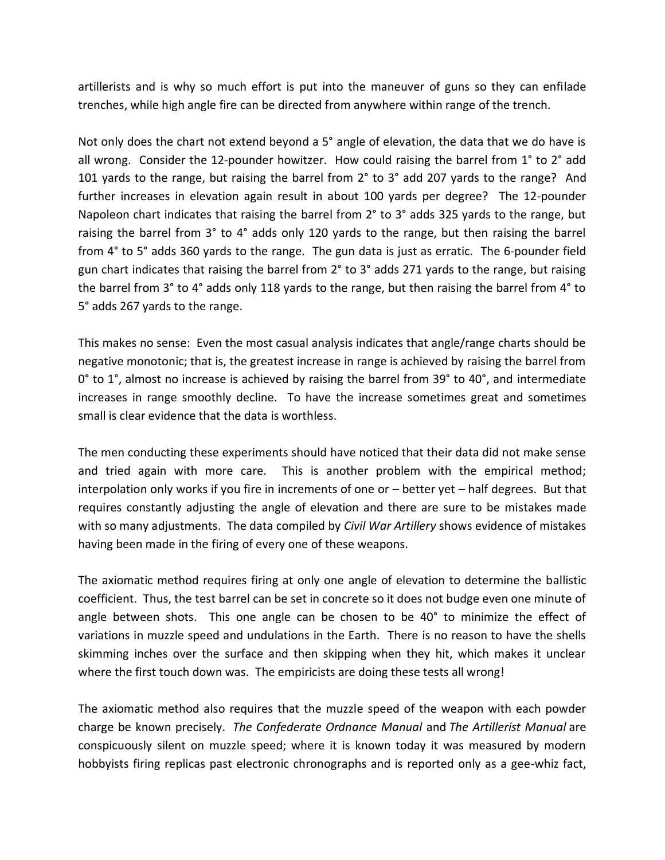artillerists and is why so much effort is put into the maneuver of guns so they can enfilade trenches, while high angle fire can be directed from anywhere within range of the trench.

Not only does the chart not extend beyond a 5° angle of elevation, the data that we do have is all wrong. Consider the 12-pounder howitzer. How could raising the barrel from 1° to 2° add 101 yards to the range, but raising the barrel from 2° to 3° add 207 yards to the range? And further increases in elevation again result in about 100 yards per degree? The 12-pounder Napoleon chart indicates that raising the barrel from 2° to 3° adds 325 yards to the range, but raising the barrel from 3° to 4° adds only 120 yards to the range, but then raising the barrel from 4° to 5° adds 360 yards to the range. The gun data is just as erratic. The 6-pounder field gun chart indicates that raising the barrel from 2° to 3° adds 271 yards to the range, but raising the barrel from 3° to 4° adds only 118 yards to the range, but then raising the barrel from 4° to 5° adds 267 yards to the range.

This makes no sense: Even the most casual analysis indicates that angle/range charts should be negative monotonic; that is, the greatest increase in range is achieved by raising the barrel from 0° to 1°, almost no increase is achieved by raising the barrel from 39° to 40°, and intermediate increases in range smoothly decline. To have the increase sometimes great and sometimes small is clear evidence that the data is worthless.

The men conducting these experiments should have noticed that their data did not make sense and tried again with more care. This is another problem with the empirical method; interpolation only works if you fire in increments of one or – better yet – half degrees. But that requires constantly adjusting the angle of elevation and there are sure to be mistakes made with so many adjustments. The data compiled by *Civil War Artillery* shows evidence of mistakes having been made in the firing of every one of these weapons.

The axiomatic method requires firing at only one angle of elevation to determine the ballistic coefficient. Thus, the test barrel can be set in concrete so it does not budge even one minute of angle between shots. This one angle can be chosen to be 40° to minimize the effect of variations in muzzle speed and undulations in the Earth. There is no reason to have the shells skimming inches over the surface and then skipping when they hit, which makes it unclear where the first touch down was. The empiricists are doing these tests all wrong!

The axiomatic method also requires that the muzzle speed of the weapon with each powder charge be known precisely. *The Confederate Ordnance Manual* and *The Artillerist Manual* are conspicuously silent on muzzle speed; where it is known today it was measured by modern hobbyists firing replicas past electronic chronographs and is reported only as a gee-whiz fact,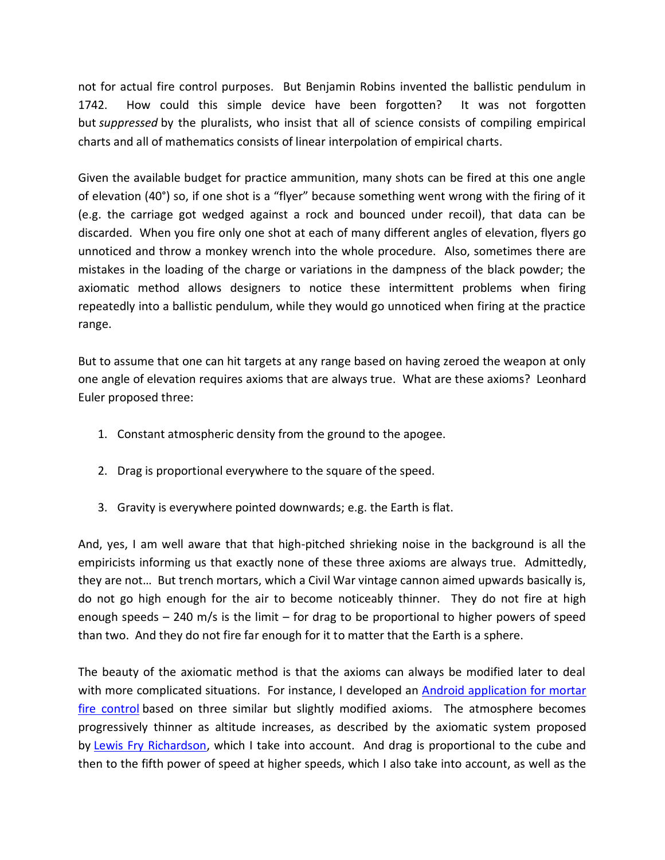not for actual fire control purposes. But Benjamin Robins invented the ballistic pendulum in 1742. How could this simple device have been forgotten? It was not forgotten but *suppressed* by the pluralists, who insist that all of science consists of compiling empirical charts and all of mathematics consists of linear interpolation of empirical charts.

Given the available budget for practice ammunition, many shots can be fired at this one angle of elevation (40°) so, if one shot is a "flyer" because something went wrong with the firing of it (e.g. the carriage got wedged against a rock and bounced under recoil), that data can be discarded. When you fire only one shot at each of many different angles of elevation, flyers go unnoticed and throw a monkey wrench into the whole procedure. Also, sometimes there are mistakes in the loading of the charge or variations in the dampness of the black powder; the axiomatic method allows designers to notice these intermittent problems when firing repeatedly into a ballistic pendulum, while they would go unnoticed when firing at the practice range.

But to assume that one can hit targets at any range based on having zeroed the weapon at only one angle of elevation requires axioms that are always true. What are these axioms? Leonhard Euler proposed three:

- 1. Constant atmospheric density from the ground to the apogee.
- 2. Drag is proportional everywhere to the square of the speed.
- 3. Gravity is everywhere pointed downwards; e.g. the Earth is flat.

And, yes, I am well aware that that high-pitched shrieking noise in the background is all the empiricists informing us that exactly none of these three axioms are always true. Admittedly, they are not… But trench mortars, which a Civil War vintage cannon aimed upwards basically is, do not go high enough for the air to become noticeably thinner. They do not fire at high enough speeds – 240 m/s is the limit – for drag to be proportional to higher powers of speed than two. And they do not fire far enough for it to matter that the Earth is a sphere.

The beauty of the axiomatic method is that the axioms can always be modified later to deal with more complicated situations. For instance, I developed an [Android application for mortar](http://www.sniperflashcards.com/mortars.php)  [fire control](http://www.sniperflashcards.com/mortars.php) based on three similar but slightly modified axioms. The atmosphere becomes progressively thinner as altitude increases, as described by the axiomatic system proposed by [Lewis Fry Richardson,](http://www.axiomaticeconomics.com/Review_Mark_Buchanan_Forecast.pdf) which I take into account. And drag is proportional to the cube and then to the fifth power of speed at higher speeds, which I also take into account, as well as the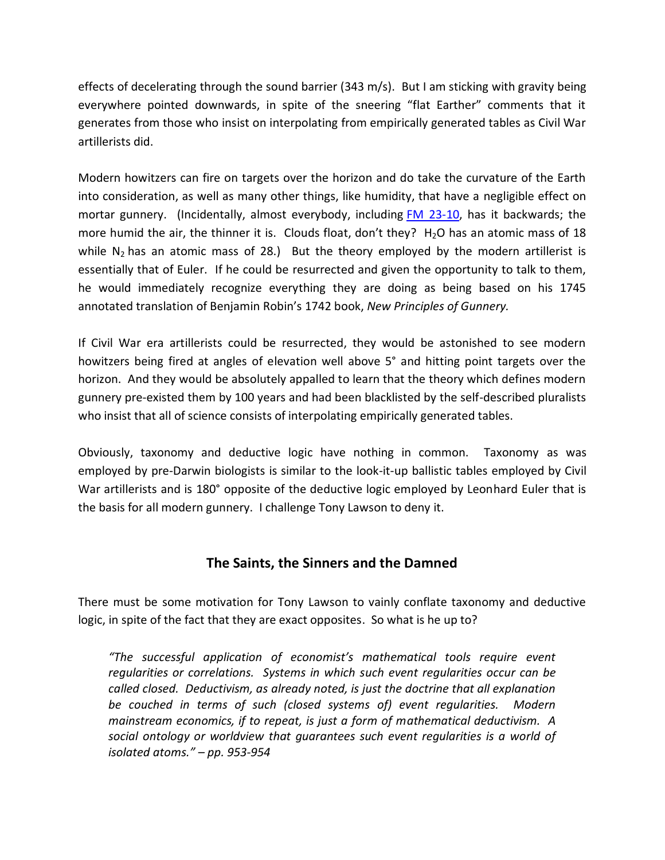effects of decelerating through the sound barrier (343 m/s). But I am sticking with gravity being everywhere pointed downwards, in spite of the sneering "flat Earther" comments that it generates from those who insist on interpolating from empirically generated tables as Civil War artillerists did.

Modern howitzers can fire on targets over the horizon and do take the curvature of the Earth into consideration, as well as many other things, like humidity, that have a negligible effect on mortar gunnery. (Incidentally, almost everybody, including [FM 23-10,](http://www.sniperflashcards.com/Review_FM_23_10.php) has it backwards; the more humid the air, the thinner it is. Clouds float, don't they?  $H_2O$  has an atomic mass of 18 while  $N_2$  has an atomic mass of 28.) But the theory employed by the modern artillerist is essentially that of Euler. If he could be resurrected and given the opportunity to talk to them, he would immediately recognize everything they are doing as being based on his 1745 annotated translation of Benjamin Robin's 1742 book, *New Principles of Gunnery.*

If Civil War era artillerists could be resurrected, they would be astonished to see modern howitzers being fired at angles of elevation well above 5° and hitting point targets over the horizon. And they would be absolutely appalled to learn that the theory which defines modern gunnery pre-existed them by 100 years and had been blacklisted by the self-described pluralists who insist that all of science consists of interpolating empirically generated tables.

Obviously, taxonomy and deductive logic have nothing in common. Taxonomy as was employed by pre-Darwin biologists is similar to the look-it-up ballistic tables employed by Civil War artillerists and is 180° opposite of the deductive logic employed by Leonhard Euler that is the basis for all modern gunnery. I challenge Tony Lawson to deny it.

## **The Saints, the Sinners and the Damned**

There must be some motivation for Tony Lawson to vainly conflate taxonomy and deductive logic, in spite of the fact that they are exact opposites. So what is he up to?

*"The successful application of economist's mathematical tools require event regularities or correlations. Systems in which such event regularities occur can be called closed. Deductivism, as already noted, is just the doctrine that all explanation be couched in terms of such (closed systems of) event regularities. Modern mainstream economics, if to repeat, is just a form of mathematical deductivism. A social ontology or worldview that guarantees such event regularities is a world of isolated atoms." – pp. 953-954*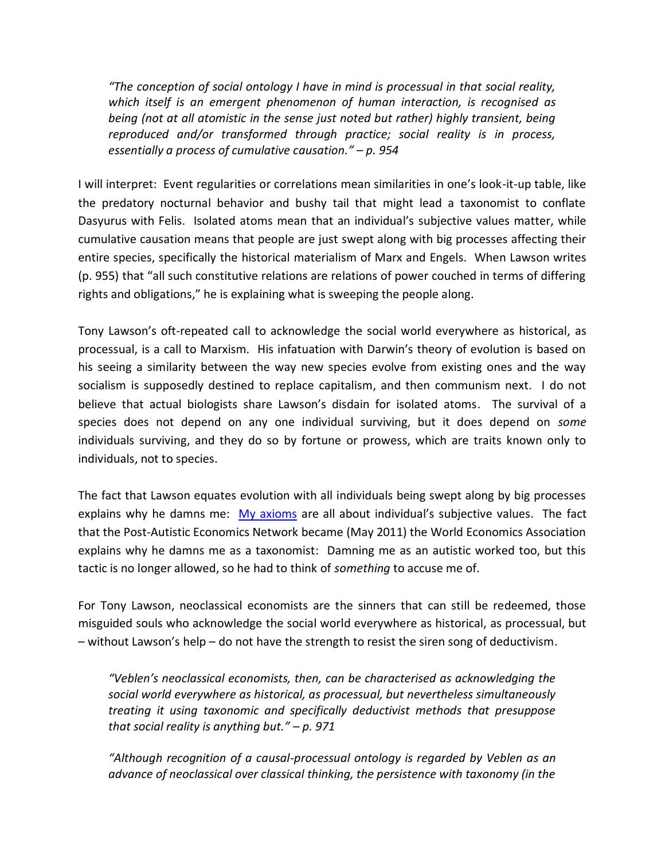*"The conception of social ontology I have in mind is processual in that social reality, which itself is an emergent phenomenon of human interaction, is recognised as being (not at all atomistic in the sense just noted but rather) highly transient, being reproduced and/or transformed through practice; social reality is in process, essentially a process of cumulative causation." – p. 954*

I will interpret: Event regularities or correlations mean similarities in one's look-it-up table, like the predatory nocturnal behavior and bushy tail that might lead a taxonomist to conflate Dasyurus with Felis. Isolated atoms mean that an individual's subjective values matter, while cumulative causation means that people are just swept along with big processes affecting their entire species, specifically the historical materialism of Marx and Engels. When Lawson writes (p. 955) that "all such constitutive relations are relations of power couched in terms of differing rights and obligations," he is explaining what is sweeping the people along.

Tony Lawson's oft-repeated call to acknowledge the social world everywhere as historical, as processual, is a call to Marxism. His infatuation with Darwin's theory of evolution is based on his seeing a similarity between the way new species evolve from existing ones and the way socialism is supposedly destined to replace capitalism, and then communism next. I do not believe that actual biologists share Lawson's disdain for isolated atoms. The survival of a species does not depend on any one individual surviving, but it does depend on *some* individuals surviving, and they do so by fortune or prowess, which are traits known only to individuals, not to species.

The fact that Lawson equates evolution with all individuals being swept along by big processes explains why he damns me: [My axioms](http://www.axiomaticeconomics.com/axioms.php) are all about individual's subjective values. The fact that the Post-Autistic Economics Network became (May 2011) the World Economics Association explains why he damns me as a taxonomist: Damning me as an autistic worked too, but this tactic is no longer allowed, so he had to think of *something* to accuse me of.

For Tony Lawson, neoclassical economists are the sinners that can still be redeemed, those misguided souls who acknowledge the social world everywhere as historical, as processual, but – without Lawson's help – do not have the strength to resist the siren song of deductivism.

*"Veblen's neoclassical economists, then, can be characterised as acknowledging the social world everywhere as historical, as processual, but nevertheless simultaneously treating it using taxonomic and specifically deductivist methods that presuppose that social reality is anything but." – p. 971*

*"Although recognition of a causal-processual ontology is regarded by Veblen as an advance of neoclassical over classical thinking, the persistence with taxonomy (in the*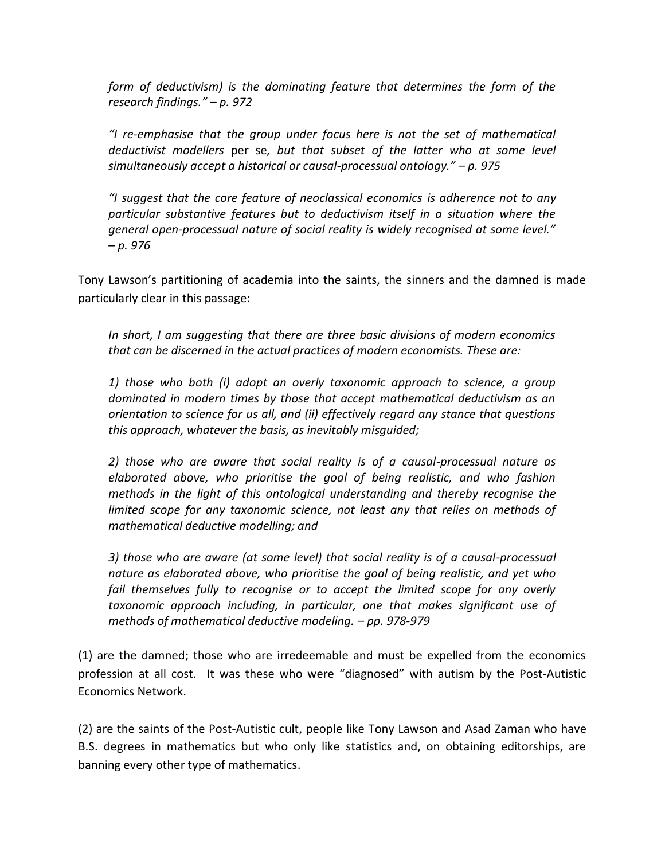*form of deductivism) is the dominating feature that determines the form of the research findings." – p. 972*

*"I re-emphasise that the group under focus here is not the set of mathematical deductivist modellers* per se*, but that subset of the latter who at some level simultaneously accept a historical or causal-processual ontology." – p. 975*

*"I suggest that the core feature of neoclassical economics is adherence not to any particular substantive features but to deductivism itself in a situation where the general open-processual nature of social reality is widely recognised at some level." – p. 976*

Tony Lawson's partitioning of academia into the saints, the sinners and the damned is made particularly clear in this passage:

*In short, I am suggesting that there are three basic divisions of modern economics that can be discerned in the actual practices of modern economists. These are:*

*1) those who both (i) adopt an overly taxonomic approach to science, a group dominated in modern times by those that accept mathematical deductivism as an orientation to science for us all, and (ii) effectively regard any stance that questions this approach, whatever the basis, as inevitably misguided;*

*2) those who are aware that social reality is of a causal-processual nature as elaborated above, who prioritise the goal of being realistic, and who fashion methods in the light of this ontological understanding and thereby recognise the limited scope for any taxonomic science, not least any that relies on methods of mathematical deductive modelling; and*

*3) those who are aware (at some level) that social reality is of a causal-processual nature as elaborated above, who prioritise the goal of being realistic, and yet who*  fail themselves fully to recognise or to accept the limited scope for any overly *taxonomic approach including, in particular, one that makes significant use of methods of mathematical deductive modeling. – pp. 978-979*

(1) are the damned; those who are irredeemable and must be expelled from the economics profession at all cost. It was these who were "diagnosed" with autism by the Post-Autistic Economics Network.

(2) are the saints of the Post-Autistic cult, people like Tony Lawson and Asad Zaman who have B.S. degrees in mathematics but who only like statistics and, on obtaining editorships, are banning every other type of mathematics.